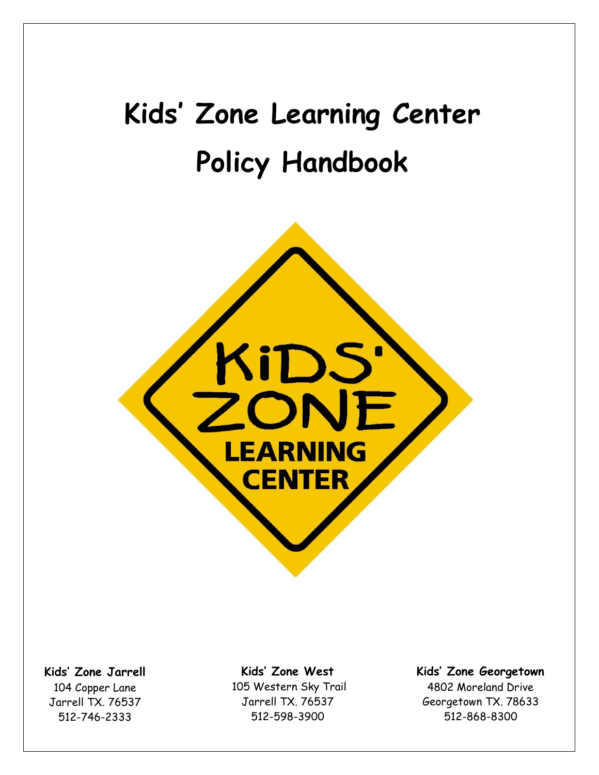# **Kids' Zone Learning Center Policy Handbook**



**Kids' Zone Jarrell** 104 Copper Lane Jarrell TX. 76537 512-746-2333

**Kids' Zone West** 105 Western Sky Trail Jarrell TX. 76537 512-598-3900

**Kids' Zone Georgetown** 4802 Moreland Drive Georgetown TX. 78633 512-868-8300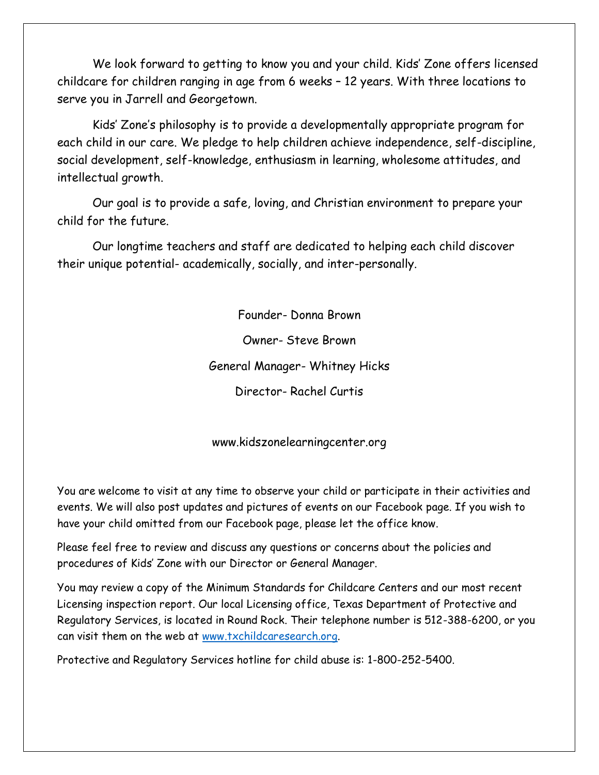We look forward to getting to know you and your child. Kids' Zone offers licensed childcare for children ranging in age from 6 weeks – 12 years. With three locations to serve you in Jarrell and Georgetown.

Kids' Zone's philosophy is to provide a developmentally appropriate program for each child in our care. We pledge to help children achieve independence, self-discipline, social development, self-knowledge, enthusiasm in learning, wholesome attitudes, and intellectual growth.

Our goal is to provide a safe, loving, and Christian environment to prepare your child for the future.

Our longtime teachers and staff are dedicated to helping each child discover their unique potential- academically, socially, and inter-personally.

> Founder- Donna Brown Owner- Steve Brown General Manager- Whitney Hicks Director- Rachel Curtis

www.kidszonelearningcenter.org

You are welcome to visit at any time to observe your child or participate in their activities and events. We will also post updates and pictures of events on our Facebook page. If you wish to have your child omitted from our Facebook page, please let the office know.

Please feel free to review and discuss any questions or concerns about the policies and procedures of Kids' Zone with our Director or General Manager.

You may review a copy of the Minimum Standards for Childcare Centers and our most recent Licensing inspection report. Our local Licensing office, Texas Department of Protective and Regulatory Services, is located in Round Rock. Their telephone number is 512-388-6200, or you can visit them on the web at [www.txchildcaresearch.org.](http://www.txchildcaresearch.org/)

Protective and Regulatory Services hotline for child abuse is: 1-800-252-5400.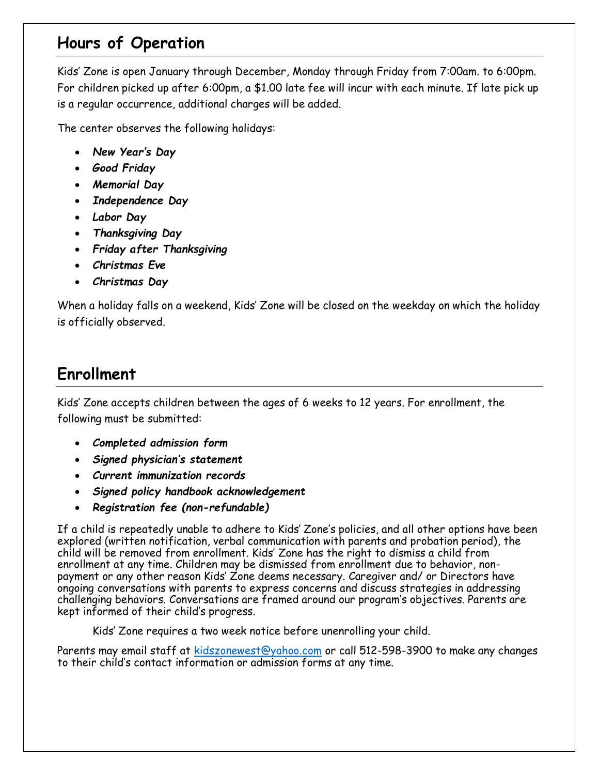#### **Hours of Operation**

Kids' Zone is open January through December, Monday through Friday from 7:00am. to 6:00pm. For children picked up after 6:00pm, a \$1.00 late fee will incur with each minute. If late pick up is a regular occurrence, additional charges will be added.

The center observes the following holidays:

- *New Year's Day*
- *Good Friday*
- *Memorial Day*
- *Independence Day*
- *Labor Day*
- *Thanksgiving Day*
- *Friday after Thanksgiving*
- *Christmas Eve*
- *Christmas Day*

When a holiday falls on a weekend, Kids' Zone will be closed on the weekday on which the holiday is officially observed.

#### **Enrollment**

Kids' Zone accepts children between the ages of 6 weeks to 12 years. For enrollment, the following must be submitted:

- *Completed admission form*
- *Signed physician's statement*
- *Current immunization records*
- *Signed policy handbook acknowledgement*
- *Registration fee (non-refundable)*

If a child is repeatedly unable to adhere to Kids' Zone's policies, and all other options have been explored (written notification, verbal communication with parents and probation period), the child will be removed from enrollment. Kids' Zone has the right to dismiss a child from enrollment at any time. Children may be dismissed from enrollment due to behavior, nonpayment or any other reason Kids' Zone deems necessary. Caregiver and/ or Directors have ongoing conversations with parents to express concerns and discuss strategies in addressing challenging behaviors. Conversations are framed around our program's objectives. Parents are kept informed of their child's progress.

Kids' Zone requires a two week notice before unenrolling your child.

Parents may email staff at [kidszonewest@yahoo.com](mailto:kidszonewest@yahoo.com) or call 512-598-3900 to make any changes to their child's contact information or admission forms at any time.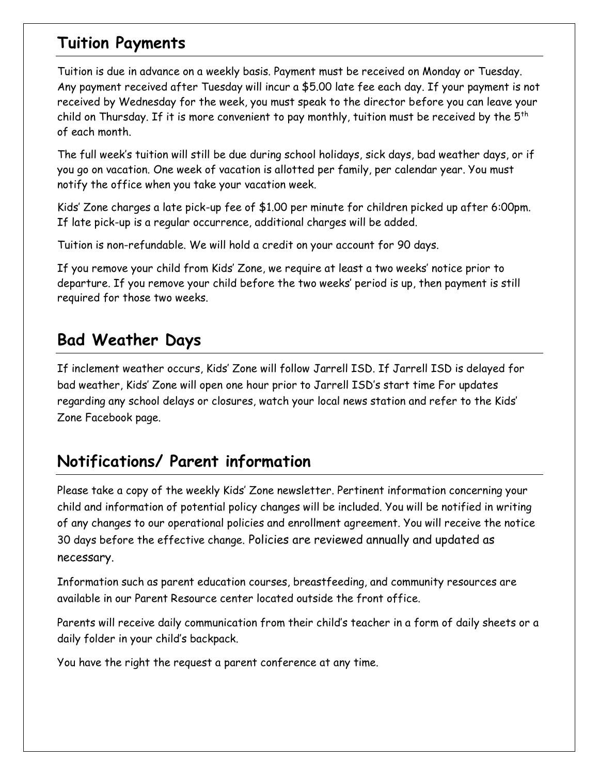#### **Tuition Payments**

Tuition is due in advance on a weekly basis. Payment must be received on Monday or Tuesday. Any payment received after Tuesday will incur a \$5.00 late fee each day. If your payment is not received by Wednesday for the week, you must speak to the director before you can leave your child on Thursday. If it is more convenient to pay monthly, tuition must be received by the  $5^{th}$ of each month.

The full week's tuition will still be due during school holidays, sick days, bad weather days, or if you go on vacation. One week of vacation is allotted per family, per calendar year. You must notify the office when you take your vacation week.

Kids' Zone charges a late pick-up fee of \$1.00 per minute for children picked up after 6:00pm. If late pick-up is a regular occurrence, additional charges will be added.

Tuition is non-refundable. We will hold a credit on your account for 90 days.

If you remove your child from Kids' Zone, we require at least a two weeks' notice prior to departure. If you remove your child before the two weeks' period is up, then payment is still required for those two weeks.

#### **Bad Weather Days**

If inclement weather occurs, Kids' Zone will follow Jarrell ISD. If Jarrell ISD is delayed for bad weather, Kids' Zone will open one hour prior to Jarrell ISD's start time For updates regarding any school delays or closures, watch your local news station and refer to the Kids' Zone Facebook page.

#### **Notifications/ Parent information**

Please take a copy of the weekly Kids' Zone newsletter. Pertinent information concerning your child and information of potential policy changes will be included. You will be notified in writing of any changes to our operational policies and enrollment agreement. You will receive the notice 30 days before the effective change. Policies are reviewed annually and updated as necessary.

Information such as parent education courses, breastfeeding, and community resources are available in our Parent Resource center located outside the front office.

Parents will receive daily communication from their child's teacher in a form of daily sheets or a daily folder in your child's backpack.

You have the right the request a parent conference at any time.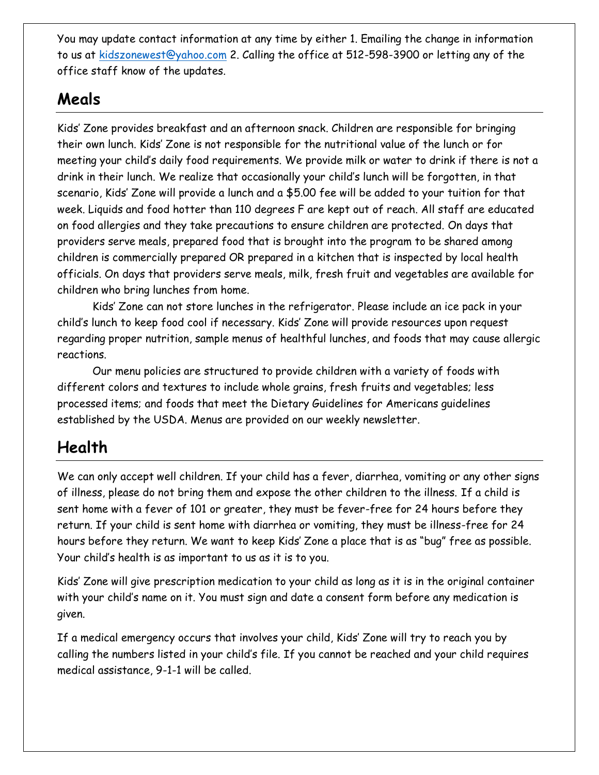You may update contact information at any time by either 1. Emailing the change in information to us at [kidszonewest@yahoo.com](mailto:kidszonewest@yahoo.com) 2. Calling the office at 512-598-3900 or letting any of the office staff know of the updates.

#### **Meals**

Kids' Zone provides breakfast and an afternoon snack. Children are responsible for bringing their own lunch. Kids' Zone is not responsible for the nutritional value of the lunch or for meeting your child's daily food requirements. We provide milk or water to drink if there is not a drink in their lunch. We realize that occasionally your child's lunch will be forgotten, in that scenario, Kids' Zone will provide a lunch and a \$5.00 fee will be added to your tuition for that week. Liquids and food hotter than 110 degrees F are kept out of reach. All staff are educated on food allergies and they take precautions to ensure children are protected. On days that providers serve meals, prepared food that is brought into the program to be shared among children is commercially prepared OR prepared in a kitchen that is inspected by local health officials. On days that providers serve meals, milk, fresh fruit and vegetables are available for children who bring lunches from home.

Kids' Zone can not store lunches in the refrigerator. Please include an ice pack in your child's lunch to keep food cool if necessary. Kids' Zone will provide resources upon request regarding proper nutrition, sample menus of healthful lunches, and foods that may cause allergic reactions.

Our menu policies are structured to provide children with a variety of foods with different colors and textures to include whole grains, fresh fruits and vegetables; less processed items; and foods that meet the Dietary Guidelines for Americans guidelines established by the USDA. Menus are provided on our weekly newsletter.

#### **Health**

We can only accept well children. If your child has a fever, diarrhea, vomiting or any other signs of illness, please do not bring them and expose the other children to the illness. If a child is sent home with a fever of 101 or greater, they must be fever-free for 24 hours before they return. If your child is sent home with diarrhea or vomiting, they must be illness-free for 24 hours before they return. We want to keep Kids' Zone a place that is as "bug" free as possible. Your child's health is as important to us as it is to you.

Kids' Zone will give prescription medication to your child as long as it is in the original container with your child's name on it. You must sign and date a consent form before any medication is given.

If a medical emergency occurs that involves your child, Kids' Zone will try to reach you by calling the numbers listed in your child's file. If you cannot be reached and your child requires medical assistance, 9-1-1 will be called.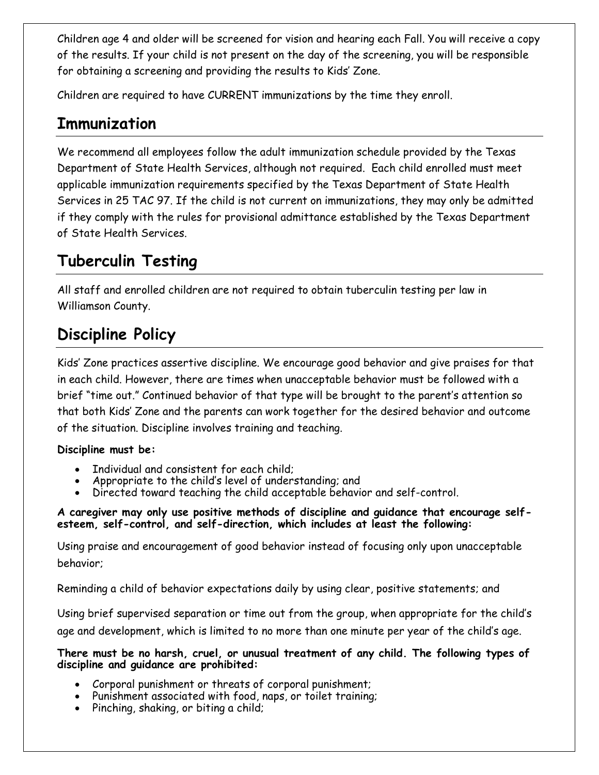Children age 4 and older will be screened for vision and hearing each Fall. You will receive a copy of the results. If your child is not present on the day of the screening, you will be responsible for obtaining a screening and providing the results to Kids' Zone.

Children are required to have CURRENT immunizations by the time they enroll.

#### **Immunization**

We recommend all employees follow the adult immunization schedule provided by the Texas Department of State Health Services, although not required. Each child enrolled must meet applicable immunization requirements specified by the Texas Department of State Health Services in 25 TAC 97. If the child is not current on immunizations, they may only be admitted if they comply with the rules for provisional admittance established by the Texas Department of State Health Services.

#### **Tuberculin Testing**

All staff and enrolled children are not required to obtain tuberculin testing per law in Williamson County.

## **Discipline Policy**

Kids' Zone practices assertive discipline. We encourage good behavior and give praises for that in each child. However, there are times when unacceptable behavior must be followed with a brief "time out." Continued behavior of that type will be brought to the parent's attention so that both Kids' Zone and the parents can work together for the desired behavior and outcome of the situation. Discipline involves training and teaching.

#### **Discipline must be:**

- Individual and consistent for each child;
- Appropriate to the child's level of understanding; and
- Directed toward teaching the child acceptable behavior and self-control.

**A caregiver may only use positive methods of discipline and guidance that encourage selfesteem, self-control, and self-direction, which includes at least the following:**

Using praise and encouragement of good behavior instead of focusing only upon unacceptable behavior;

Reminding a child of behavior expectations daily by using clear, positive statements; and

Using brief supervised separation or time out from the group, when appropriate for the child's age and development, which is limited to no more than one minute per year of the child's age.

#### **There must be no harsh, cruel, or unusual treatment of any child. The following types of discipline and guidance are prohibited:**

- Corporal punishment or threats of corporal punishment;
- Punishment associated with food, naps, or toilet training;
- Pinching, shaking, or biting a child;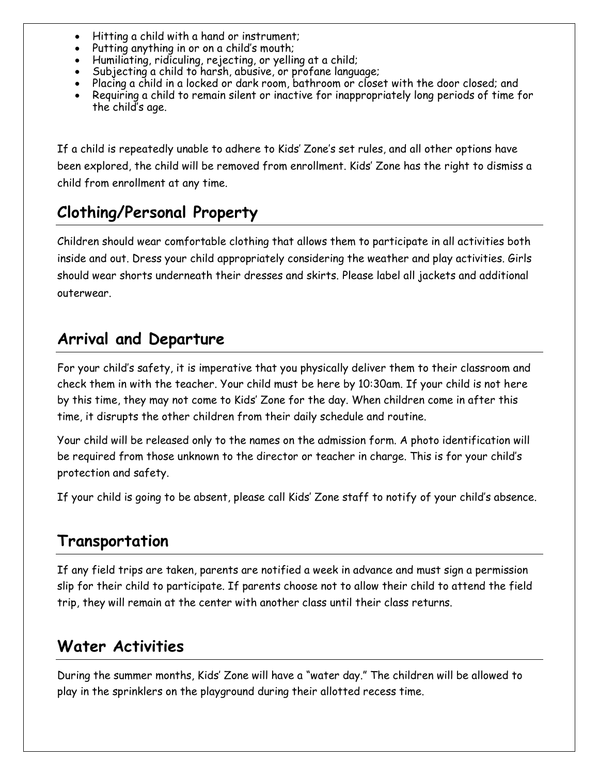- Hitting a child with a hand or instrument;
- Putting anything in or on a child's mouth;
- Humiliating, ridiculing, rejecting, or yelling at a child;
- Subjecting a child to harsh, abusive, or profane language;
- Placing a child in a locked or dark room, bathroom or closet with the door closed; and
- Requiring a child to remain silent or inactive for inappropriately long periods of time for the child's age.

If a child is repeatedly unable to adhere to Kids' Zone's set rules, and all other options have been explored, the child will be removed from enrollment. Kids' Zone has the right to dismiss a child from enrollment at any time.

#### **Clothing/Personal Property**

Children should wear comfortable clothing that allows them to participate in all activities both inside and out. Dress your child appropriately considering the weather and play activities. Girls should wear shorts underneath their dresses and skirts. Please label all jackets and additional outerwear.

#### **Arrival and Departure**

For your child's safety, it is imperative that you physically deliver them to their classroom and check them in with the teacher. Your child must be here by 10:30am. If your child is not here by this time, they may not come to Kids' Zone for the day. When children come in after this time, it disrupts the other children from their daily schedule and routine.

Your child will be released only to the names on the admission form. A photo identification will be required from those unknown to the director or teacher in charge. This is for your child's protection and safety.

If your child is going to be absent, please call Kids' Zone staff to notify of your child's absence.

#### **Transportation**

If any field trips are taken, parents are notified a week in advance and must sign a permission slip for their child to participate. If parents choose not to allow their child to attend the field trip, they will remain at the center with another class until their class returns.

#### **Water Activities**

During the summer months, Kids' Zone will have a "water day." The children will be allowed to play in the sprinklers on the playground during their allotted recess time.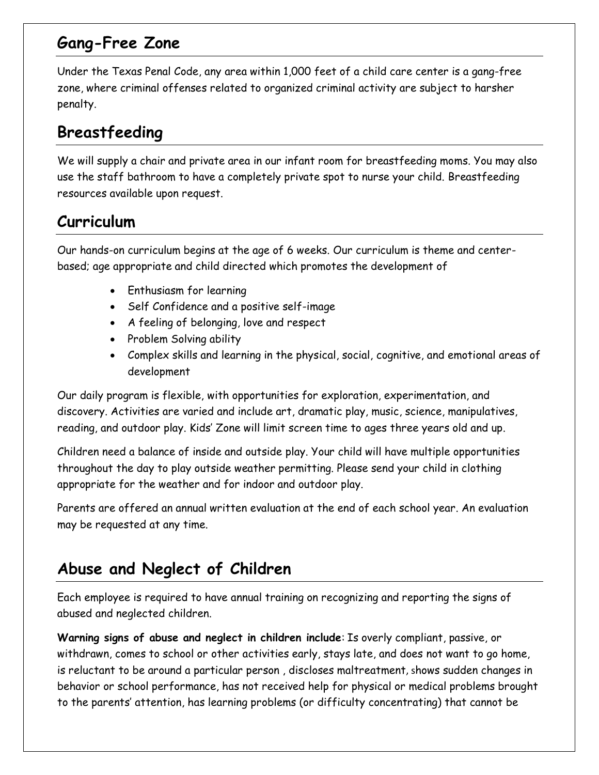#### **Gang-Free Zone**

Under the Texas Penal Code, any area within 1,000 feet of a child care center is a gang-free zone, where criminal offenses related to organized criminal activity are subject to harsher penalty.

## **Breastfeeding**

We will supply a chair and private area in our infant room for breastfeeding moms. You may also use the staff bathroom to have a completely private spot to nurse your child. Breastfeeding resources available upon request.

#### **Curriculum**

Our hands-on curriculum begins at the age of 6 weeks. Our curriculum is theme and centerbased; age appropriate and child directed which promotes the development of

- Enthusiasm for learning
- Self Confidence and a positive self-image
- A feeling of belonging, love and respect
- Problem Solving ability
- Complex skills and learning in the physical, social, cognitive, and emotional areas of development

Our daily program is flexible, with opportunities for exploration, experimentation, and discovery. Activities are varied and include art, dramatic play, music, science, manipulatives, reading, and outdoor play. Kids' Zone will limit screen time to ages three years old and up.

Children need a balance of inside and outside play. Your child will have multiple opportunities throughout the day to play outside weather permitting. Please send your child in clothing appropriate for the weather and for indoor and outdoor play.

Parents are offered an annual written evaluation at the end of each school year. An evaluation may be requested at any time.

#### **Abuse and Neglect of Children**

Each employee is required to have annual training on recognizing and reporting the signs of abused and neglected children.

**Warning signs of abuse and neglect in children include**: Is overly compliant, passive, or withdrawn, comes to school or other activities early, stays late, and does not want to go home, is reluctant to be around a particular person , discloses maltreatment, shows sudden changes in behavior or school performance, has not received help for physical or medical problems brought to the parents' attention, has learning problems (or difficulty concentrating) that cannot be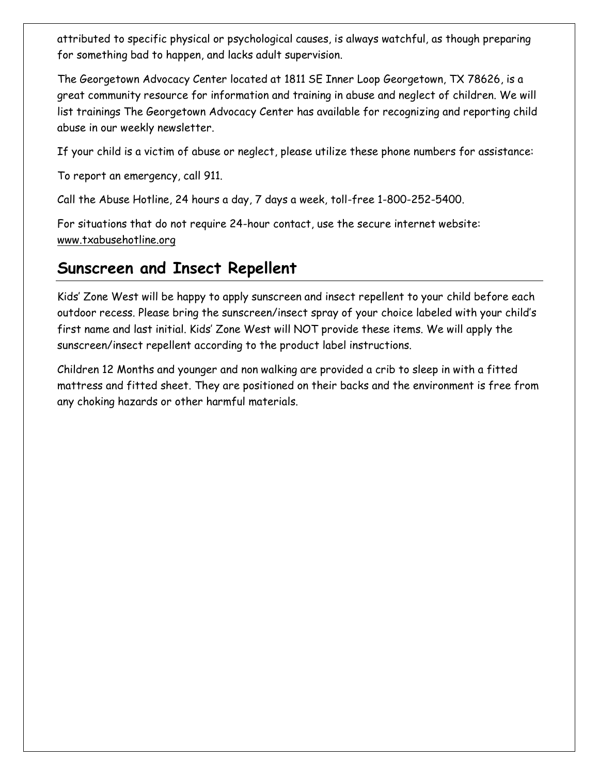attributed to specific physical or psychological causes, is always watchful, as though preparing for something bad to happen, and lacks adult supervision.

The Georgetown Advocacy Center located at 1811 SE Inner Loop Georgetown, TX 78626, is a great community resource for information and training in abuse and neglect of children. We will list trainings The Georgetown Advocacy Center has available for recognizing and reporting child abuse in our weekly newsletter.

If your child is a victim of abuse or neglect, please utilize these phone numbers for assistance:

To report an emergency, call 911.

Call the Abuse Hotline, 24 hours a day, 7 days a week, toll-free 1-800-252-5400.

For situations that do not require 24-hour contact, use the secure internet website: [www.txabusehotline.org](https://www.txabusehotline.org/)

#### **Sunscreen and Insect Repellent**

Kids' Zone West will be happy to apply sunscreen and insect repellent to your child before each outdoor recess. Please bring the sunscreen/insect spray of your choice labeled with your child's first name and last initial. Kids' Zone West will NOT provide these items. We will apply the sunscreen/insect repellent according to the product label instructions.

Children 12 Months and younger and non walking are provided a crib to sleep in with a fitted mattress and fitted sheet. They are positioned on their backs and the environment is free from any choking hazards or other harmful materials.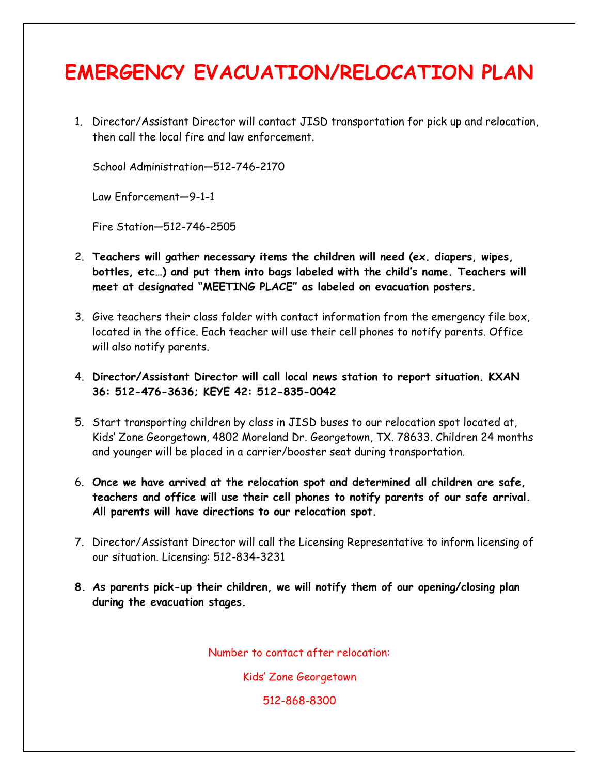# **EMERGENCY EVACUATION/RELOCATION PLAN**

1. Director/Assistant Director will contact JISD transportation for pick up and relocation, then call the local fire and law enforcement.

School Administration—512-746-2170

Law Enforcement—9-1-1

Fire Station—512-746-2505

- 2. **Teachers will gather necessary items the children will need (ex. diapers, wipes, bottles, etc…) and put them into bags labeled with the child's name. Teachers will meet at designated "MEETING PLACE" as labeled on evacuation posters.**
- 3. Give teachers their class folder with contact information from the emergency file box, located in the office. Each teacher will use their cell phones to notify parents. Office will also notify parents.
- 4. **Director/Assistant Director will call local news station to report situation. KXAN 36: 512-476-3636; KEYE 42: 512-835-0042**
- 5. Start transporting children by class in JISD buses to our relocation spot located at, Kids' Zone Georgetown, 4802 Moreland Dr. Georgetown, TX. 78633. Children 24 months and younger will be placed in a carrier/booster seat during transportation.
- 6. **Once we have arrived at the relocation spot and determined all children are safe, teachers and office will use their cell phones to notify parents of our safe arrival. All parents will have directions to our relocation spot.**
- 7. Director/Assistant Director will call the Licensing Representative to inform licensing of our situation. Licensing: 512-834-3231
- **8. As parents pick-up their children, we will notify them of our opening/closing plan during the evacuation stages.**

Number to contact after relocation:

Kids' Zone Georgetown

512-868-8300